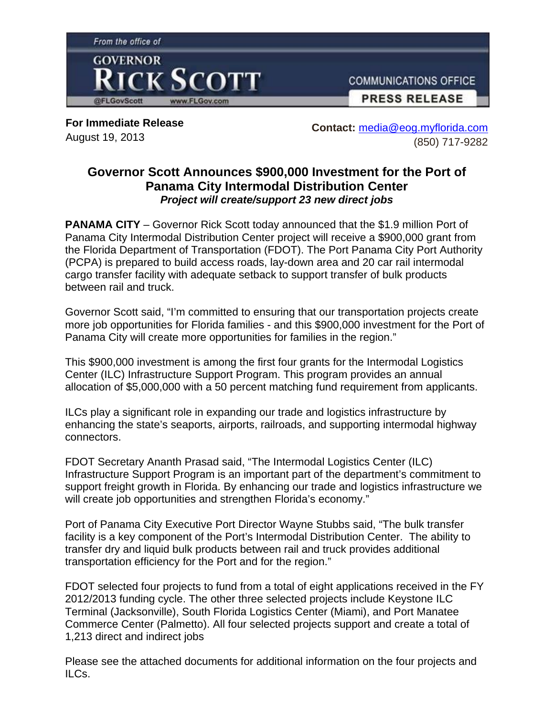

**For Immediate Release**  August 19, 2013

**Contact:** media@eog.myflorida.com (850) 717-9282

## **Governor Scott Announces \$900,000 Investment for the Port of Panama City Intermodal Distribution Center** *Project will create/support 23 new direct jobs*

**PANAMA CITY** – Governor Rick Scott today announced that the \$1.9 million Port of Panama City Intermodal Distribution Center project will receive a \$900,000 grant from the Florida Department of Transportation (FDOT). The Port Panama City Port Authority (PCPA) is prepared to build access roads, lay-down area and 20 car rail intermodal cargo transfer facility with adequate setback to support transfer of bulk products between rail and truck.

Governor Scott said, "I'm committed to ensuring that our transportation projects create more job opportunities for Florida families - and this \$900,000 investment for the Port of Panama City will create more opportunities for families in the region."

This \$900,000 investment is among the first four grants for the Intermodal Logistics Center (ILC) Infrastructure Support Program. This program provides an annual allocation of \$5,000,000 with a 50 percent matching fund requirement from applicants.

ILCs play a significant role in expanding our trade and logistics infrastructure by enhancing the state's seaports, airports, railroads, and supporting intermodal highway connectors.

FDOT Secretary Ananth Prasad said, "The Intermodal Logistics Center (ILC) Infrastructure Support Program is an important part of the department's commitment to support freight growth in Florida. By enhancing our trade and logistics infrastructure we will create job opportunities and strengthen Florida's economy."

Port of Panama City Executive Port Director Wayne Stubbs said, "The bulk transfer facility is a key component of the Port's Intermodal Distribution Center. The ability to transfer dry and liquid bulk products between rail and truck provides additional transportation efficiency for the Port and for the region."

FDOT selected four projects to fund from a total of eight applications received in the FY 2012/2013 funding cycle. The other three selected projects include Keystone ILC Terminal (Jacksonville), South Florida Logistics Center (Miami), and Port Manatee Commerce Center (Palmetto). All four selected projects support and create a total of 1,213 direct and indirect jobs

Please see the attached documents for additional information on the four projects and ILCs.